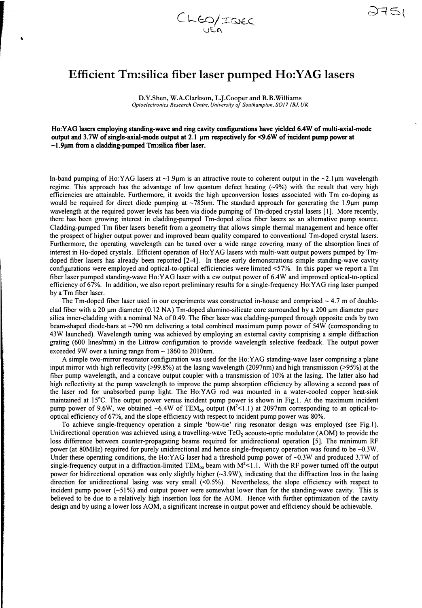

 $\bullet$ 

## **Efficient Tm:silica fiber laser pumped Ho: YAG lasers**

**D.Y.Shen, W.A.Clarkson, L.J.Cooper and R.B.Williams** *Optoelectronics Research Centre, University of Southampton. SOJ7 IBJ, UK* 

Ho:YAG lasers employing standing-wave and ring cavity configurations have yielded 6.4W of multi-axial-mode output and 3.7W of single-axial-mode output at 2.1 µm respectively for <9.6W of incident pump power at -1.9µm from a cladding-pumped Tm:silica fiber laser.

In-band pumping of Ho:YAG lasers at  $\sim$ 1.9µm is an attractive route to coherent output in the  $\sim$ 2.1µm wavelength regime. This approach has the advantage of low quantum defect heating  $(-9%)$  with the result that very high efficiencies are attainable. Furthermore, it avoids the high upconversion losses associated with Tm co-doping as would be required for direct diode pumping at ~785nm. The standard approach for generating the 1.9µm pump wavelength at the required power levels has been via diode pumping of Tm-doped crystal lasers [1]. More recently, there has been growing interest in cladding-pumped Tm-doped silica fiber lasers as an alternative pump source. Cladding-pumped Tm fiber lasers benefit from a geometry that allows simple thermal management and hence offer the prospect of higher output power and improved beam quality compared to conventional Tm-doped crystal lasers. Furthermore, the operating wavelength can be tuned over a wide range covering many of the absorption lines of interest in Ho-doped crystals. Efficient operation of Ho:Y AG lasers with multi-watt output powers pumped by Tmdoped fiber lasers has already been reported [2-4]. In these early demonstrations simple standing-wave cavity configurations were employed and optical-to-optical efficiencies were limited <57%. In this paper we report a Tm fiber laser pumped standing-wave Ho:YAG laser with a cw output power of 6.4W and improved optical-to-optical efficiency of 67%. In addition, we also report preliminary results for a single-frequency Ho:YAG ring laser pumped by a Tm fiber laser.

The Tm-doped fiber laser used in our experiments was constructed in-house and comprised  $\sim 4.7$  m of doubleclad fiber with a 20  $\mu$ m diameter (0.12 NA) Tm-doped alumino-silicate core surrounded by a 200  $\mu$ m diameter pure silica inner-cladding with a nominal NA of 0.49. The fiber laser was cladding-pumped through opposite ends by two beam-shaped diode-bars at ~790 nm delivering a total combined maximum pump power of 54W (corresponding to 43W launched). Wavelength tuning was achieved by employing an external cavity comprising a simple diffraction grating (600 lines/mm) in the Littrow configuration to provide wavelength selective feedback. The output power exceeded 9W over a tuning range from  $\sim$  1860 to 2010nm.

A simple two-mirror resonator configuration was used for the Ho:YAG standing-wave laser comprising a plane input mirror with high reflectivity (>99.8%) at the lasing wavelength (2097nm) and high transmission (>95%) at the fiber pump wavelength, and a concave output coupler with a transmission of 10% at the lasing. The latter also had high reflectivity at the pump wavelength to improve the pump absorption efficiency by allowing a second pass of the laser rod for unabsorbed pump light. The Ho:YAG rod was mounted in a water-cooled copper heat-sink maintained at 15°C. The output power versus incident pump power is shown in Fig.1. At the maximum incident pump power of 9.6W, we obtained ~6.4W of  $TEM_{oo}$  output  $(M<sup>2</sup><1.1)$  at 2097nm corresponding to an optical-tooptical efficiency of 67%, and the slope efficiency with respect to incident pump power was 80%.

To achieve single-frequency operation a simple 'bow-tie' ring resonator design was employed (see Fig. I). Unidirectional operation was achieved using a travelling-wave Te0**2** acousto-optic modulator (AOM) to provide the loss difference between counter-propagating beams required for unidirectional operation [5]. The minimum RF power (at 80MHz) required for purely unidirectional and hence single-frequency operation was found to be -0.3W. Under these operating conditions, the Ho:YAG laser had a threshold pump power of ~0.3W and produced 3.7W of single-frequency output in a diffraction-limited TEM<sub>00</sub> beam with  $M^2$ <1.1. With the RF power turned off the output power for bidirectional operation was only slightly higher  $(-3.9W)$ , indicating that the diffraction loss in the lasing direction for unidirectional lasing was very small (<0.5%). Nevertheless, the slope efficiency with respect to incident pump power  $(-51\%)$  and output power were somewhat lower than for the standing-wave cavity. This is believed to be due to a relatively high insertion loss for the AOM. Hence with further optimization of the cavity design and by using a lower loss AOM, a significant increase in output power and efficiency should be achievable.